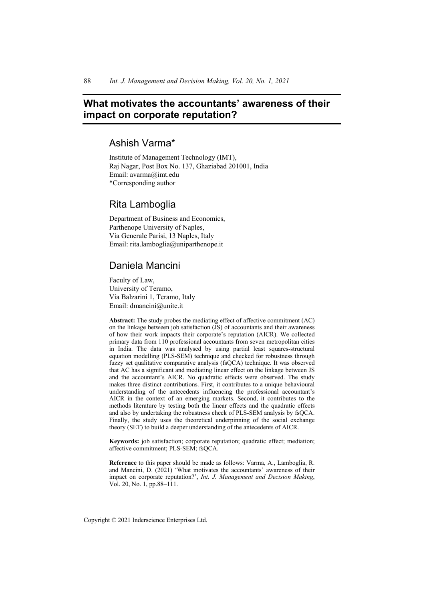# **What motivates the accountants' awareness of their impact on corporate reputation?**

# Ashish Varma\*

Institute of Management Technology (IMT), Raj Nagar, Post Box No. 137, Ghaziabad 201001, India Email: avarma@imt.edu \*Corresponding author

# Rita Lamboglia

Department of Business and Economics, Parthenope University of Naples, Via Generale Parisi, 13 Naples, Italy Email: rita.lamboglia@uniparthenope.it

# Daniela Mancini

Faculty of Law, University of Teramo, Via Balzarini 1, Teramo, Italy Email: dmancini@unite.it

**Abstract:** The study probes the mediating effect of affective commitment (AC) on the linkage between job satisfaction (JS) of accountants and their awareness of how their work impacts their corporate's reputation (AICR). We collected primary data from 110 professional accountants from seven metropolitan cities in India. The data was analysed by using partial least squares-structural equation modelling (PLS-SEM) technique and checked for robustness through fuzzy set qualitative comparative analysis (fsQCA) technique. It was observed that AC has a significant and mediating linear effect on the linkage between JS and the accountant's AICR. No quadratic effects were observed. The study makes three distinct contributions. First, it contributes to a unique behavioural understanding of the antecedents influencing the professional accountant's AICR in the context of an emerging markets. Second, it contributes to the methods literature by testing both the linear effects and the quadratic effects and also by undertaking the robustness check of PLS-SEM analysis by fsQCA. Finally, the study uses the theoretical underpinning of the social exchange theory (SET) to build a deeper understanding of the antecedents of AICR.

**Keywords:** job satisfaction; corporate reputation; quadratic effect; mediation; affective commitment; PLS-SEM; fsQCA.

**Reference** to this paper should be made as follows: Varma, A., Lamboglia, R. and Mancini, D. (2021) 'What motivates the accountants' awareness of their impact on corporate reputation?', *Int. J. Management and Decision Making*, Vol. 20, No. 1, pp.88–111.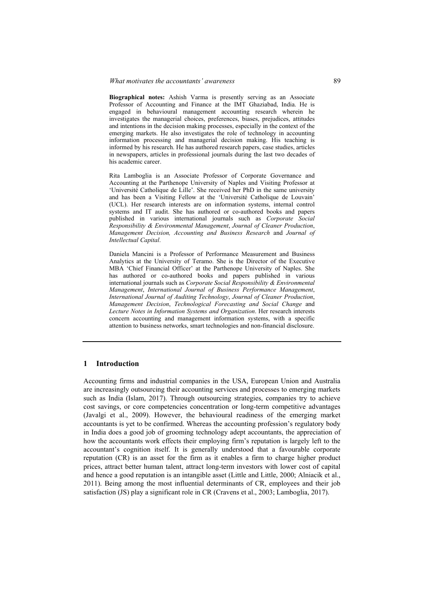**Biographical notes:** Ashish Varma is presently serving as an Associate Professor of Accounting and Finance at the IMT Ghaziabad, India. He is engaged in behavioural management accounting research wherein he investigates the managerial choices, preferences, biases, prejudices, attitudes and intentions in the decision making processes, especially in the context of the emerging markets. He also investigates the role of technology in accounting information processing and managerial decision making. His teaching is informed by his research. He has authored research papers, case studies, articles in newspapers, articles in professional journals during the last two decades of his academic career.

Rita Lamboglia is an Associate Professor of Corporate Governance and Accounting at the Parthenope University of Naples and Visiting Professor at 'Université Catholique de Lille'. She received her PhD in the same university and has been a Visiting Fellow at the 'Université Catholique de Louvain' (UCL). Her research interests are on information systems, internal control systems and IT audit. She has authored or co-authored books and papers published in various international journals such as *Corporate Social Responsibility & Environmental Management*, *Journal of Cleaner Production*, *Management Decision, Accounting and Business Research* and *Journal of Intellectual Capital*.

Daniela Mancini is a Professor of Performance Measurement and Business Analytics at the University of Teramo. She is the Director of the Executive MBA 'Chief Financial Officer' at the Parthenope University of Naples. She has authored or co-authored books and papers published in various international journals such as *Corporate Social Responsibility & Environmental Management*, *International Journal of Business Performance Management*, *International Journal of Auditing Technology*, *Journal of Cleaner Production*, *Management Decision*, *Technological Forecasting and Social Change* and *Lecture Notes in Information Systems and Organization*. Her research interests concern accounting and management information systems, with a specific attention to business networks, smart technologies and non-financial disclosure.

## **1 Introduction**

Accounting firms and industrial companies in the USA, European Union and Australia are increasingly outsourcing their accounting services and processes to emerging markets such as India (Islam, 2017). Through outsourcing strategies, companies try to achieve cost savings, or core competencies concentration or long-term competitive advantages (Javalgi et al., 2009). However, the behavioural readiness of the emerging market accountants is yet to be confirmed. Whereas the accounting profession's regulatory body in India does a good job of grooming technology adept accountants, the appreciation of how the accountants work effects their employing firm's reputation is largely left to the accountant's cognition itself. It is generally understood that a favourable corporate reputation (CR) is an asset for the firm as it enables a firm to charge higher product prices, attract better human talent, attract long-term investors with lower cost of capital and hence a good reputation is an intangible asset (Little and Little, 2000; Alniacik et al., 2011). Being among the most influential determinants of CR, employees and their job satisfaction (JS) play a significant role in CR (Cravens et al., 2003; Lamboglia, 2017).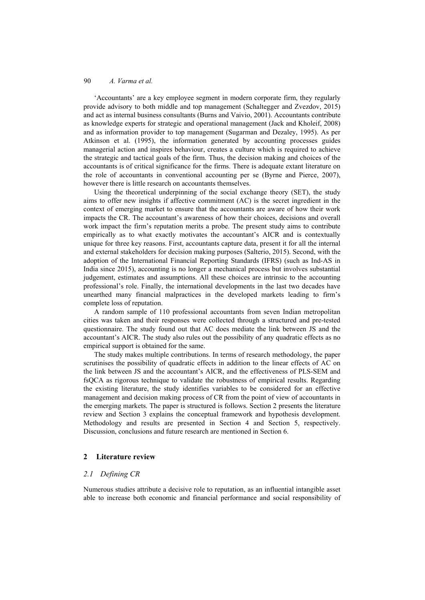'Accountants' are a key employee segment in modern corporate firm, they regularly provide advisory to both middle and top management (Schaltegger and Zvezdov, 2015) and act as internal business consultants (Burns and Vaivio, 2001). Accountants contribute as knowledge experts for strategic and operational management (Jack and Kholeif, 2008) and as information provider to top management (Sugarman and Dezaley, 1995). As per Atkinson et al. (1995), the information generated by accounting processes guides managerial action and inspires behaviour, creates a culture which is required to achieve the strategic and tactical goals of the firm. Thus, the decision making and choices of the accountants is of critical significance for the firms. There is adequate extant literature on the role of accountants in conventional accounting per se (Byrne and Pierce, 2007), however there is little research on accountants themselves.

Using the theoretical underpinning of the social exchange theory (SET), the study aims to offer new insights if affective commitment (AC) is the secret ingredient in the context of emerging market to ensure that the accountants are aware of how their work impacts the CR. The accountant's awareness of how their choices, decisions and overall work impact the firm's reputation merits a probe. The present study aims to contribute empirically as to what exactly motivates the accountant's AICR and is contextually unique for three key reasons. First, accountants capture data, present it for all the internal and external stakeholders for decision making purposes (Salterio, 2015). Second, with the adoption of the International Financial Reporting Standards (IFRS) (such as Ind-AS in India since 2015), accounting is no longer a mechanical process but involves substantial judgement, estimates and assumptions. All these choices are intrinsic to the accounting professional's role. Finally, the international developments in the last two decades have unearthed many financial malpractices in the developed markets leading to firm's complete loss of reputation.

A random sample of 110 professional accountants from seven Indian metropolitan cities was taken and their responses were collected through a structured and pre-tested questionnaire. The study found out that AC does mediate the link between JS and the accountant's AICR. The study also rules out the possibility of any quadratic effects as no empirical support is obtained for the same.

The study makes multiple contributions. In terms of research methodology, the paper scrutinises the possibility of quadratic effects in addition to the linear effects of AC on the link between JS and the accountant's AICR, and the effectiveness of PLS-SEM and fsQCA as rigorous technique to validate the robustness of empirical results. Regarding the existing literature, the study identifies variables to be considered for an effective management and decision making process of CR from the point of view of accountants in the emerging markets. The paper is structured is follows. Section 2 presents the literature review and Section 3 explains the conceptual framework and hypothesis development. Methodology and results are presented in Section 4 and Section 5, respectively. Discussion, conclusions and future research are mentioned in Section 6.

### **2 Literature review**

#### *2.1 Defining CR*

Numerous studies attribute a decisive role to reputation, as an influential intangible asset able to increase both economic and financial performance and social responsibility of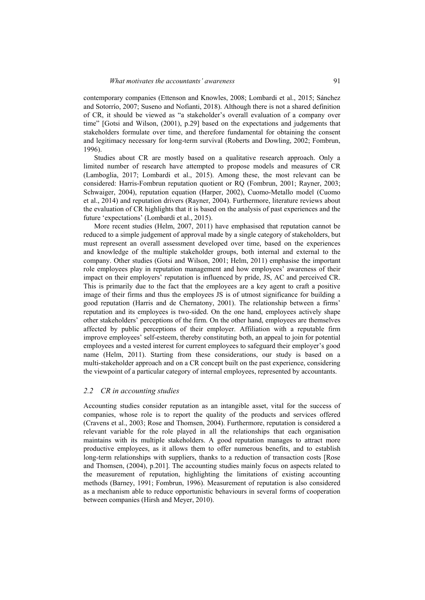contemporary companies (Ettenson and Knowles, 2008; Lombardi et al., 2015; Sánchez and Sotorrío, 2007; Suseno and Nofianti, 2018). Although there is not a shared definition of CR, it should be viewed as "a stakeholder's overall evaluation of a company over time" [Gotsi and Wilson, (2001), p.29] based on the expectations and judgements that stakeholders formulate over time, and therefore fundamental for obtaining the consent and legitimacy necessary for long-term survival (Roberts and Dowling, 2002; Fombrun, 1996).

Studies about CR are mostly based on a qualitative research approach. Only a limited number of research have attempted to propose models and measures of CR (Lamboglia, 2017; Lombardi et al., 2015). Among these, the most relevant can be considered: Harris-Fombrun reputation quotient or RQ (Fombrun, 2001; Rayner, 2003; Schwaiger, 2004), reputation equation (Harper, 2002), Cuomo-Metallo model (Cuomo et al., 2014) and reputation drivers (Rayner, 2004). Furthermore, literature reviews about the evaluation of CR highlights that it is based on the analysis of past experiences and the future 'expectations' (Lombardi et al., 2015).

More recent studies (Helm, 2007, 2011) have emphasised that reputation cannot be reduced to a simple judgement of approval made by a single category of stakeholders, but must represent an overall assessment developed over time, based on the experiences and knowledge of the multiple stakeholder groups, both internal and external to the company. Other studies (Gotsi and Wilson, 2001; Helm, 2011) emphasise the important role employees play in reputation management and how employees' awareness of their impact on their employers' reputation is influenced by pride, JS, AC and perceived CR. This is primarily due to the fact that the employees are a key agent to craft a positive image of their firms and thus the employees JS is of utmost significance for building a good reputation (Harris and de Chernatony, 2001). The relationship between a firms' reputation and its employees is two-sided. On the one hand, employees actively shape other stakeholders' perceptions of the firm. On the other hand, employees are themselves affected by public perceptions of their employer. Affiliation with a reputable firm improve employees' self-esteem, thereby constituting both, an appeal to join for potential employees and a vested interest for current employees to safeguard their employer's good name (Helm, 2011). Starting from these considerations, our study is based on a multi-stakeholder approach and on a CR concept built on the past experience, considering the viewpoint of a particular category of internal employees, represented by accountants.

### *2.2 CR in accounting studies*

Accounting studies consider reputation as an intangible asset, vital for the success of companies, whose role is to report the quality of the products and services offered (Cravens et al., 2003; Rose and Thomsen, 2004). Furthermore, reputation is considered a relevant variable for the role played in all the relationships that each organisation maintains with its multiple stakeholders. A good reputation manages to attract more productive employees, as it allows them to offer numerous benefits, and to establish long-term relationships with suppliers, thanks to a reduction of transaction costs [Rose and Thomsen, (2004), p.201]. The accounting studies mainly focus on aspects related to the measurement of reputation, highlighting the limitations of existing accounting methods (Barney, 1991; Fombrun, 1996). Measurement of reputation is also considered as a mechanism able to reduce opportunistic behaviours in several forms of cooperation between companies (Hirsh and Meyer, 2010).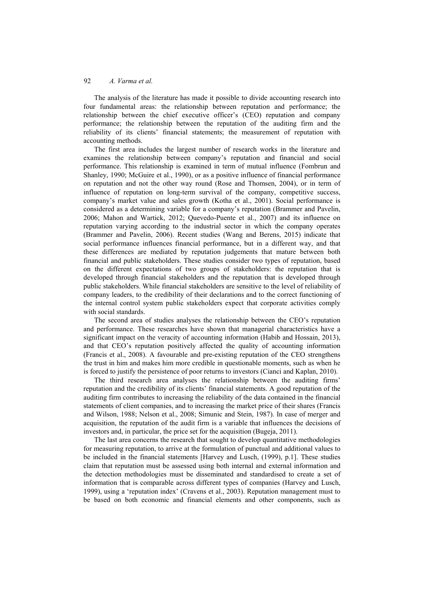The analysis of the literature has made it possible to divide accounting research into four fundamental areas: the relationship between reputation and performance; the relationship between the chief executive officer's (CEO) reputation and company performance; the relationship between the reputation of the auditing firm and the reliability of its clients' financial statements; the measurement of reputation with accounting methods.

The first area includes the largest number of research works in the literature and examines the relationship between company's reputation and financial and social performance. This relationship is examined in term of mutual influence (Fombrun and Shanley, 1990; McGuire et al., 1990), or as a positive influence of financial performance on reputation and not the other way round (Rose and Thomsen, 2004), or in term of influence of reputation on long-term survival of the company, competitive success, company's market value and sales growth (Kotha et al., 2001). Social performance is considered as a determining variable for a company's reputation (Brammer and Pavelin, 2006; Mahon and Wartick, 2012; Quevedo-Puente et al., 2007) and its influence on reputation varying according to the industrial sector in which the company operates (Brammer and Pavelin, 2006). Recent studies (Wang and Berens, 2015) indicate that social performance influences financial performance, but in a different way, and that these differences are mediated by reputation judgements that mature between both financial and public stakeholders. These studies consider two types of reputation, based on the different expectations of two groups of stakeholders: the reputation that is developed through financial stakeholders and the reputation that is developed through public stakeholders. While financial stakeholders are sensitive to the level of reliability of company leaders, to the credibility of their declarations and to the correct functioning of the internal control system public stakeholders expect that corporate activities comply with social standards.

The second area of studies analyses the relationship between the CEO's reputation and performance. These researches have shown that managerial characteristics have a significant impact on the veracity of accounting information (Habib and Hossain, 2013), and that CEO's reputation positively affected the quality of accounting information (Francis et al., 2008). A favourable and pre-existing reputation of the CEO strengthens the trust in him and makes him more credible in questionable moments, such as when he is forced to justify the persistence of poor returns to investors (Cianci and Kaplan, 2010).

The third research area analyses the relationship between the auditing firms' reputation and the credibility of its clients' financial statements. A good reputation of the auditing firm contributes to increasing the reliability of the data contained in the financial statements of client companies, and to increasing the market price of their shares (Francis and Wilson, 1988; Nelson et al., 2008; Simunic and Stein, 1987). In case of merger and acquisition, the reputation of the audit firm is a variable that influences the decisions of investors and, in particular, the price set for the acquisition (Bugeja, 2011).

The last area concerns the research that sought to develop quantitative methodologies for measuring reputation, to arrive at the formulation of punctual and additional values to be included in the financial statements [Harvey and Lusch, (1999), p.1]. These studies claim that reputation must be assessed using both internal and external information and the detection methodologies must be disseminated and standardised to create a set of information that is comparable across different types of companies (Harvey and Lusch, 1999), using a 'reputation index' (Cravens et al., 2003). Reputation management must to be based on both economic and financial elements and other components, such as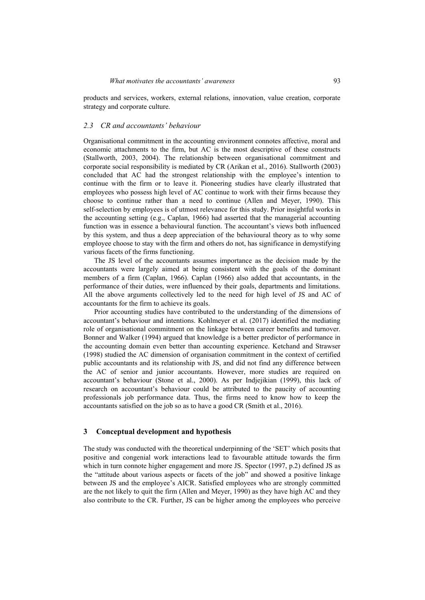products and services, workers, external relations, innovation, value creation, corporate strategy and corporate culture.

### *2.3 CR and accountants' behaviour*

Organisational commitment in the accounting environment connotes affective, moral and economic attachments to the firm, but AC is the most descriptive of these constructs (Stallworth, 2003, 2004). The relationship between organisational commitment and corporate social responsibility is mediated by CR (Arikan et al., 2016). Stallworth (2003) concluded that AC had the strongest relationship with the employee's intention to continue with the firm or to leave it. Pioneering studies have clearly illustrated that employees who possess high level of AC continue to work with their firms because they choose to continue rather than a need to continue (Allen and Meyer, 1990). This self-selection by employees is of utmost relevance for this study. Prior insightful works in the accounting setting (e.g., Caplan, 1966) had asserted that the managerial accounting function was in essence a behavioural function. The accountant's views both influenced by this system, and thus a deep appreciation of the behavioural theory as to why some employee choose to stay with the firm and others do not, has significance in demystifying various facets of the firms functioning.

The JS level of the accountants assumes importance as the decision made by the accountants were largely aimed at being consistent with the goals of the dominant members of a firm (Caplan, 1966). Caplan (1966) also added that accountants, in the performance of their duties, were influenced by their goals, departments and limitations. All the above arguments collectively led to the need for high level of JS and AC of accountants for the firm to achieve its goals.

Prior accounting studies have contributed to the understanding of the dimensions of accountant's behaviour and intentions. Kohlmeyer et al. (2017) identified the mediating role of organisational commitment on the linkage between career benefits and turnover. Bonner and Walker (1994) argued that knowledge is a better predictor of performance in the accounting domain even better than accounting experience. Ketchand and Strawser (1998) studied the AC dimension of organisation commitment in the context of certified public accountants and its relationship with JS, and did not find any difference between the AC of senior and junior accountants. However, more studies are required on accountant's behaviour (Stone et al., 2000). As per Indjejikian (1999), this lack of research on accountant's behaviour could be attributed to the paucity of accounting professionals job performance data. Thus, the firms need to know how to keep the accountants satisfied on the job so as to have a good CR (Smith et al., 2016).

#### **3 Conceptual development and hypothesis**

The study was conducted with the theoretical underpinning of the 'SET' which posits that positive and congenial work interactions lead to favourable attitude towards the firm which in turn connote higher engagement and more JS. Spector (1997, p.2) defined JS as the "attitude about various aspects or facets of the job" and showed a positive linkage between JS and the employee's AICR. Satisfied employees who are strongly committed are the not likely to quit the firm (Allen and Meyer, 1990) as they have high AC and they also contribute to the CR. Further, JS can be higher among the employees who perceive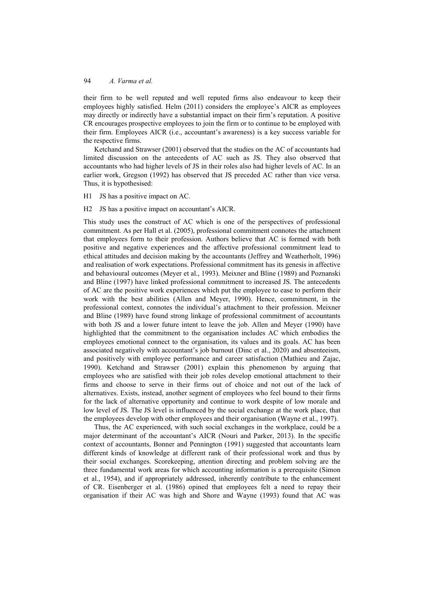their firm to be well reputed and well reputed firms also endeavour to keep their employees highly satisfied. Helm (2011) considers the employee's AICR as employees may directly or indirectly have a substantial impact on their firm's reputation. A positive CR encourages prospective employees to join the firm or to continue to be employed with their firm. Employees AICR (i.e., accountant's awareness) is a key success variable for the respective firms.

Ketchand and Strawser (2001) observed that the studies on the AC of accountants had limited discussion on the antecedents of AC such as JS. They also observed that accountants who had higher levels of JS in their roles also had higher levels of AC. In an earlier work, Gregson (1992) has observed that JS preceded AC rather than vice versa. Thus, it is hypothesised:

H1 JS has a positive impact on AC.

H2 JS has a positive impact on accountant's AICR.

This study uses the construct of AC which is one of the perspectives of professional commitment. As per Hall et al. (2005), professional commitment connotes the attachment that employees form to their profession. Authors believe that AC is formed with both positive and negative experiences and the affective professional commitment lead to ethical attitudes and decision making by the accountants (Jeffrey and Weatherholt, 1996) and realisation of work expectations. Professional commitment has its genesis in affective and behavioural outcomes (Meyer et al., 1993). Meixner and Bline (1989) and Poznanski and Bline (1997) have linked professional commitment to increased JS. The antecedents of AC are the positive work experiences which put the employee to ease to perform their work with the best abilities (Allen and Meyer, 1990). Hence, commitment, in the professional context, connotes the individual's attachment to their profession. Meixner and Bline (1989) have found strong linkage of professional commitment of accountants with both JS and a lower future intent to leave the job. Allen and Meyer (1990) have highlighted that the commitment to the organisation includes AC which embodies the employees emotional connect to the organisation, its values and its goals. AC has been associated negatively with accountant's job burnout (Dinc et al., 2020) and absenteeism, and positively with employee performance and career satisfaction (Mathieu and Zajac, 1990). Ketchand and Strawser (2001) explain this phenomenon by arguing that employees who are satisfied with their job roles develop emotional attachment to their firms and choose to serve in their firms out of choice and not out of the lack of alternatives. Exists, instead, another segment of employees who feel bound to their firms for the lack of alternative opportunity and continue to work despite of low morale and low level of JS. The JS level is influenced by the social exchange at the work place, that the employees develop with other employees and their organisation (Wayne et al., 1997).

Thus, the AC experienced, with such social exchanges in the workplace, could be a major determinant of the accountant's AICR (Nouri and Parker, 2013). In the specific context of accountants, Bonner and Pennington (1991) suggested that accountants learn different kinds of knowledge at different rank of their professional work and thus by their social exchanges. Scorekeeping, attention directing and problem solving are the three fundamental work areas for which accounting information is a prerequisite (Simon et al., 1954), and if appropriately addressed, inherently contribute to the enhancement of CR. Eisenberger et al. (1986) opined that employees felt a need to repay their organisation if their AC was high and Shore and Wayne (1993) found that AC was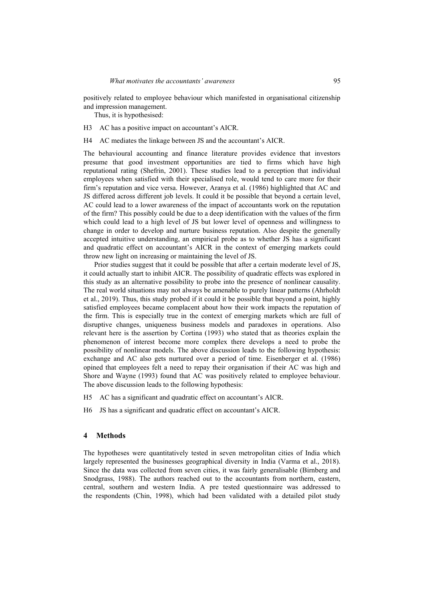positively related to employee behaviour which manifested in organisational citizenship and impression management.

Thus, it is hypothesised:

- H3 AC has a positive impact on accountant's AICR.
- H4 AC mediates the linkage between JS and the accountant's AICR.

The behavioural accounting and finance literature provides evidence that investors presume that good investment opportunities are tied to firms which have high reputational rating (Shefrin, 2001). These studies lead to a perception that individual employees when satisfied with their specialised role, would tend to care more for their firm's reputation and vice versa. However, Aranya et al. (1986) highlighted that AC and JS differed across different job levels. It could it be possible that beyond a certain level, AC could lead to a lower awareness of the impact of accountants work on the reputation of the firm? This possibly could be due to a deep identification with the values of the firm which could lead to a high level of JS but lower level of openness and willingness to change in order to develop and nurture business reputation. Also despite the generally accepted intuitive understanding, an empirical probe as to whether JS has a significant and quadratic effect on accountant's AICR in the context of emerging markets could throw new light on increasing or maintaining the level of JS.

Prior studies suggest that it could be possible that after a certain moderate level of JS, it could actually start to inhibit AICR. The possibility of quadratic effects was explored in this study as an alternative possibility to probe into the presence of nonlinear causality. The real world situations may not always be amenable to purely linear patterns (Ahrholdt et al., 2019). Thus, this study probed if it could it be possible that beyond a point, highly satisfied employees became complacent about how their work impacts the reputation of the firm. This is especially true in the context of emerging markets which are full of disruptive changes, uniqueness business models and paradoxes in operations. Also relevant here is the assertion by Cortina (1993) who stated that as theories explain the phenomenon of interest become more complex there develops a need to probe the possibility of nonlinear models. The above discussion leads to the following hypothesis: exchange and AC also gets nurtured over a period of time. Eisenberger et al. (1986) opined that employees felt a need to repay their organisation if their AC was high and Shore and Wayne (1993) found that AC was positively related to employee behaviour. The above discussion leads to the following hypothesis:

- H5 AC has a significant and quadratic effect on accountant's AICR.
- H6 JS has a significant and quadratic effect on accountant's AICR.

### **4 Methods**

The hypotheses were quantitatively tested in seven metropolitan cities of India which largely represented the businesses geographical diversity in India (Varma et al., 2018). Since the data was collected from seven cities, it was fairly generalisable (Birnberg and Snodgrass, 1988). The authors reached out to the accountants from northern, eastern, central, southern and western India. A pre tested questionnaire was addressed to the respondents (Chin, 1998), which had been validated with a detailed pilot study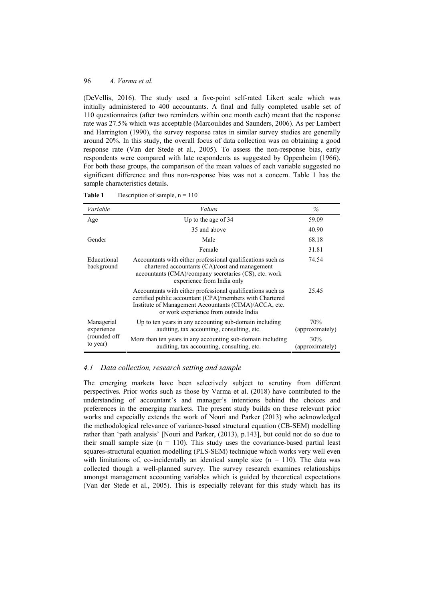(DeVellis, 2016). The study used a five-point self-rated Likert scale which was initially administered to 400 accountants. A final and fully completed usable set of 110 questionnaires (after two reminders within one month each) meant that the response rate was 27.5% which was acceptable (Marcoulides and Saunders, 2006). As per Lambert and Harrington (1990), the survey response rates in similar survey studies are generally around 20%. In this study, the overall focus of data collection was on obtaining a good response rate (Van der Stede et al., 2005). To assess the non-response bias, early respondents were compared with late respondents as suggested by Oppenheim (1966). For both these groups, the comparison of the mean values of each variable suggested no significant difference and thus non-response bias was not a concern. Table 1 has the sample characteristics details.

| Variable                  | Values                                                                                                                                                                                                                    | $\%$                   |
|---------------------------|---------------------------------------------------------------------------------------------------------------------------------------------------------------------------------------------------------------------------|------------------------|
| Age                       | Up to the age of 34                                                                                                                                                                                                       | 59.09                  |
|                           | 35 and above                                                                                                                                                                                                              | 40.90                  |
| Gender                    | Male                                                                                                                                                                                                                      | 68.18                  |
|                           | Female                                                                                                                                                                                                                    | 31.81                  |
| Educational<br>background | Accountants with either professional qualifications such as<br>chartered accountants (CA)/cost and management<br>accountants (CMA)/company secretaries (CS), etc. work<br>experience from India only                      | 74.54                  |
|                           | Accountants with either professional qualifications such as<br>certified public accountant (CPA)/members with Chartered<br>Institute of Management Accountants (CIMA)/ACCA, etc.<br>or work experience from outside India | 25.45                  |
| Managerial<br>experience  | Up to ten years in any accounting sub-domain including<br>auditing, tax accounting, consulting, etc.                                                                                                                      | 70%<br>(approximately) |
| (rounded off<br>to year)  | More than ten years in any accounting sub-domain including<br>auditing, tax accounting, consulting, etc.                                                                                                                  | 30%<br>(approximately) |

| <b>Table 1</b> | Description of sample, $n = 110$ |  |  |
|----------------|----------------------------------|--|--|
|----------------|----------------------------------|--|--|

## *4.1 Data collection, research setting and sample*

The emerging markets have been selectively subject to scrutiny from different perspectives. Prior works such as those by Varma et al. (2018) have contributed to the understanding of accountant's and manager's intentions behind the choices and preferences in the emerging markets. The present study builds on these relevant prior works and especially extends the work of Nouri and Parker (2013) who acknowledged the methodological relevance of variance-based structural equation (CB-SEM) modelling rather than 'path analysis' [Nouri and Parker, (2013), p.143], but could not do so due to their small sample size  $(n = 110)$ . This study uses the covariance-based partial least squares-structural equation modelling (PLS-SEM) technique which works very well even with limitations of, co-incidentally an identical sample size  $(n = 110)$ . The data was collected though a well-planned survey. The survey research examines relationships amongst management accounting variables which is guided by theoretical expectations (Van der Stede et al., 2005). This is especially relevant for this study which has its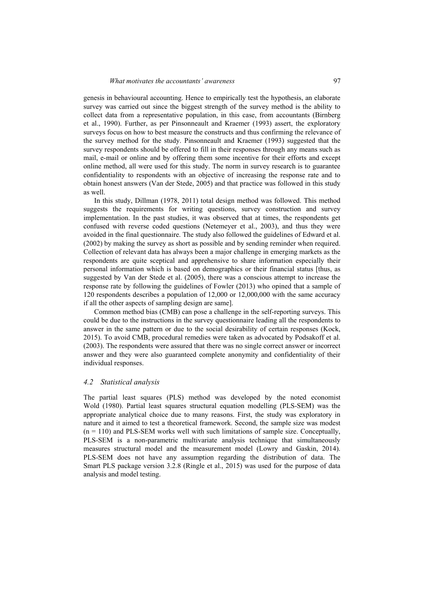genesis in behavioural accounting. Hence to empirically test the hypothesis, an elaborate survey was carried out since the biggest strength of the survey method is the ability to collect data from a representative population, in this case, from accountants (Birnberg et al., 1990). Further, as per Pinsonneault and Kraemer (1993) assert, the exploratory surveys focus on how to best measure the constructs and thus confirming the relevance of the survey method for the study. Pinsonneault and Kraemer (1993) suggested that the survey respondents should be offered to fill in their responses through any means such as mail, e-mail or online and by offering them some incentive for their efforts and except online method, all were used for this study. The norm in survey research is to guarantee confidentiality to respondents with an objective of increasing the response rate and to obtain honest answers (Van der Stede, 2005) and that practice was followed in this study as well.

In this study, Dillman (1978, 2011) total design method was followed. This method suggests the requirements for writing questions, survey construction and survey implementation. In the past studies, it was observed that at times, the respondents get confused with reverse coded questions (Netemeyer et al., 2003), and thus they were avoided in the final questionnaire. The study also followed the guidelines of Edward et al. (2002) by making the survey as short as possible and by sending reminder when required. Collection of relevant data has always been a major challenge in emerging markets as the respondents are quite sceptical and apprehensive to share information especially their personal information which is based on demographics or their financial status [thus, as suggested by Van der Stede et al. (2005), there was a conscious attempt to increase the response rate by following the guidelines of Fowler (2013) who opined that a sample of 120 respondents describes a population of 12,000 or 12,000,000 with the same accuracy if all the other aspects of sampling design are same].

Common method bias (CMB) can pose a challenge in the self-reporting surveys. This could be due to the instructions in the survey questionnaire leading all the respondents to answer in the same pattern or due to the social desirability of certain responses (Kock, 2015). To avoid CMB, procedural remedies were taken as advocated by Podsakoff et al. (2003). The respondents were assured that there was no single correct answer or incorrect answer and they were also guaranteed complete anonymity and confidentiality of their individual responses.

#### *4.2 Statistical analysis*

The partial least squares (PLS) method was developed by the noted economist Wold (1980). Partial least squares structural equation modelling (PLS-SEM) was the appropriate analytical choice due to many reasons. First, the study was exploratory in nature and it aimed to test a theoretical framework. Second, the sample size was modest  $(n = 110)$  and PLS-SEM works well with such limitations of sample size. Conceptually, PLS-SEM is a non-parametric multivariate analysis technique that simultaneously measures structural model and the measurement model (Lowry and Gaskin, 2014). PLS-SEM does not have any assumption regarding the distribution of data. The Smart PLS package version 3.2.8 (Ringle et al., 2015) was used for the purpose of data analysis and model testing.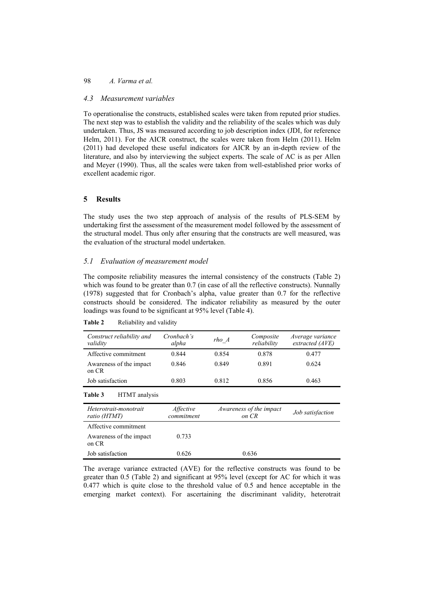# *4.3 Measurement variables*

To operationalise the constructs, established scales were taken from reputed prior studies. The next step was to establish the validity and the reliability of the scales which was duly undertaken. Thus, JS was measured according to job description index (JDI, for reference Helm, 2011). For the AICR construct, the scales were taken from Helm (2011). Helm (2011) had developed these useful indicators for AICR by an in-depth review of the literature, and also by interviewing the subject experts. The scale of AC is as per Allen and Meyer (1990). Thus, all the scales were taken from well-established prior works of excellent academic rigor.

# **5 Results**

The study uses the two step approach of analysis of the results of PLS-SEM by undertaking first the assessment of the measurement model followed by the assessment of the structural model. Thus only after ensuring that the constructs are well measured, was the evaluation of the structural model undertaken.

# *5.1 Evaluation of measurement model*

The composite reliability measures the internal consistency of the constructs (Table 2) which was found to be greater than 0.7 (in case of all the reflective constructs). Nunnally (1978) suggested that for Cronbach's alpha, value greater than 0.7 for the reflective constructs should be considered. The indicator reliability as measured by the outer loadings was found to be significant at 95% level (Table 4).

| Construct reliability and<br>validity | Cronbach's<br>alpha | rho A | Composite<br>reliability | Average variance<br>extracted (AVE) |
|---------------------------------------|---------------------|-------|--------------------------|-------------------------------------|
| Affective commitment                  | 0.844               | 0.854 | 0.878                    | 0.477                               |
| Awareness of the impact<br>on CR      | 0.846               | 0.849 | 0.891                    | 0.624                               |
| Job satisfaction                      | 0.803               | 0.812 | 0.856                    | 0.463                               |
| Table 3<br>HTMT analysis              |                     |       |                          |                                     |

| <b>Table 2</b> | Reliability and validity |
|----------------|--------------------------|
|----------------|--------------------------|

| Heterotrait-monotrait<br>ratio (HTMT) | <i>Affective</i><br>commitment | Awareness of the impact<br>on CR | Job satisfaction |
|---------------------------------------|--------------------------------|----------------------------------|------------------|
| Affective commitment                  |                                |                                  |                  |
| Awareness of the impact<br>on CR      | 0.733                          |                                  |                  |
| Job satisfaction                      | 0.626                          | 0.636                            |                  |

The average variance extracted (AVE) for the reflective constructs was found to be greater than 0.5 (Table 2) and significant at 95% level (except for AC for which it was 0.477 which is quite close to the threshold value of 0.5 and hence acceptable in the emerging market context). For ascertaining the discriminant validity, heterotrait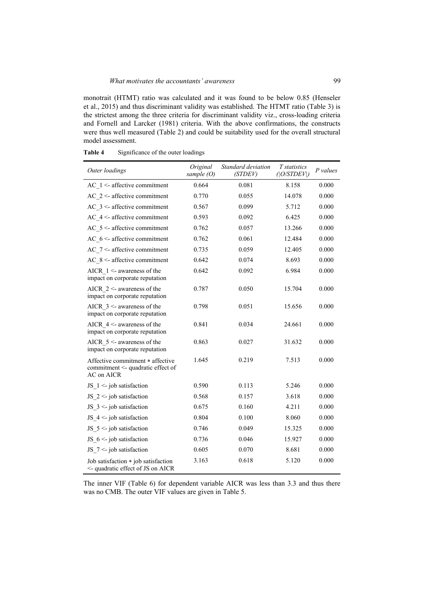monotrait (HTMT) ratio was calculated and it was found to be below 0.85 (Henseler et al., 2015) and thus discriminant validity was established. The HTMT ratio (Table 3) is the strictest among the three criteria for discriminant validity viz., cross-loading criteria and Fornell and Larcker (1981) criteria. With the above confirmations, the constructs were thus well measured (Table 2) and could be suitability used for the overall structural model assessment.

| Outer loadings                                                                      | Original<br>sample (O) | Standard deviation<br>(STDEV) | T statistics<br>$($   O/STDEV ) | P values |
|-------------------------------------------------------------------------------------|------------------------|-------------------------------|---------------------------------|----------|
| $AC$ 1 <- affective commitment                                                      | 0.664                  | 0.081                         | 8.158                           | 0.000    |
| $AC$ 2 <- affective commitment                                                      | 0.770                  | 0.055                         | 14.078                          | 0.000    |
| $AC$ 3 <- affective commitment                                                      | 0.567                  | 0.099                         | 5.712                           | 0.000    |
| AC $4 \leq$ affective commitment                                                    | 0.593                  | 0.092                         | 6.425                           | 0.000    |
| AC $5 \leq$ affective commitment                                                    | 0.762                  | 0.057                         | 13.266                          | 0.000    |
| AC $6 \leq$ affective commitment                                                    | 0.762                  | 0.061                         | 12.484                          | 0.000    |
| AC $7 <$ - affective commitment                                                     | 0.735                  | 0.059                         | 12.405                          | 0.000    |
| AC $8 \leq$ affective commitment                                                    | 0.642                  | 0.074                         | 8.693                           | 0.000    |
| AICR $1 \le$ awareness of the<br>impact on corporate reputation                     | 0.642                  | 0.092                         | 6.984                           | 0.000    |
| AICR $2 \le$ awareness of the<br>impact on corporate reputation                     | 0.787                  | 0.050                         | 15.704                          | 0.000    |
| AICR $3 \le$ - awareness of the<br>impact on corporate reputation                   | 0.798                  | 0.051                         | 15.656                          | 0.000    |
| AICR $4 \leq$ awareness of the<br>impact on corporate reputation                    | 0.841                  | 0.034                         | 24.661                          | 0.000    |
| AICR $5 <$ - awareness of the<br>impact on corporate reputation                     | 0.863                  | 0.027                         | 31.632                          | 0.000    |
| Affective commitment * affective<br>commitment <- quadratic effect of<br>AC on AICR | 1.645                  | 0.219                         | 7.513                           | 0.000    |
| JS $1 \le$ -job satisfaction                                                        | 0.590                  | 0.113                         | 5.246                           | 0.000    |
| JS $2 \le$ -job satisfaction                                                        | 0.568                  | 0.157                         | 3.618                           | 0.000    |
| JS $3 \le$ -job satisfaction                                                        | 0.675                  | 0.160                         | 4.211                           | 0.000    |
| JS $4 \le$ -job satisfaction                                                        | 0.804                  | 0.100                         | 8.060                           | 0.000    |
| JS_5 <- job satisfaction                                                            | 0.746                  | 0.049                         | 15.325                          | 0.000    |
| JS $6 \le$ -job satisfaction                                                        | 0.736                  | 0.046                         | 15.927                          | 0.000    |
| JS $7 \le$ -job satisfaction                                                        | 0.605                  | 0.070                         | 8.681                           | 0.000    |
| Job satisfaction * job satisfaction<br><- quadratic effect of JS on AICR            | 3.163                  | 0.618                         | 5.120                           | 0.000    |

**Table 4** Significance of the outer loadings

The inner VIF (Table 6) for dependent variable AICR was less than 3.3 and thus there was no CMB. The outer VIF values are given in Table 5.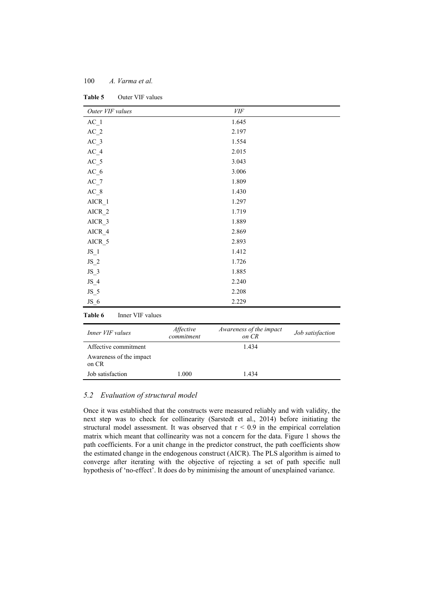| Outer VIF values | <b>VIF</b> |  |
|------------------|------------|--|
| $AC_1$           | 1.645      |  |
| $AC_2$           | 2.197      |  |
| $AC_3$           | 1.554      |  |
| $AC_4$           | 2.015      |  |
| $AC_5$           | 3.043      |  |
| $AC_6$           | 3.006      |  |
| $AC_7$           | 1.809      |  |
| $AC_8$           | 1.430      |  |
| $AICR_1$         | 1.297      |  |
| $AICR_2$         | 1.719      |  |
| $AICR_3$         | 1.889      |  |
| $AICR_4$         | 2.869      |  |
| $AICR_5$         | 2.893      |  |
| $JS_1$           | 1.412      |  |
| $JS_2$           | 1.726      |  |
| $JS_3$           | 1.885      |  |
| $JS_4$           | 2.240      |  |
| $JS_5$           | 2.208      |  |
| $JS_6$           | 2.229      |  |

**Table 5** Outer VIF values

| Table 6 | Inner VIF values |
|---------|------------------|
|---------|------------------|

| Inner VIF values                 | <i>Affective</i><br>commitment | Awareness of the impact<br>on CR | Job satisfaction |
|----------------------------------|--------------------------------|----------------------------------|------------------|
| Affective commitment             |                                | 1.434                            |                  |
| Awareness of the impact<br>on CR |                                |                                  |                  |
| Job satisfaction                 | 1.000                          | 1.434                            |                  |

# *5.2 Evaluation of structural model*

Once it was established that the constructs were measured reliably and with validity, the next step was to check for collinearity (Sarstedt et al., 2014) before initiating the structural model assessment. It was observed that  $r < 0.9$  in the empirical correlation matrix which meant that collinearity was not a concern for the data. Figure 1 shows the path coefficients. For a unit change in the predictor construct, the path coefficients show the estimated change in the endogenous construct (AICR). The PLS algorithm is aimed to converge after iterating with the objective of rejecting a set of path specific null hypothesis of 'no-effect'. It does do by minimising the amount of unexplained variance.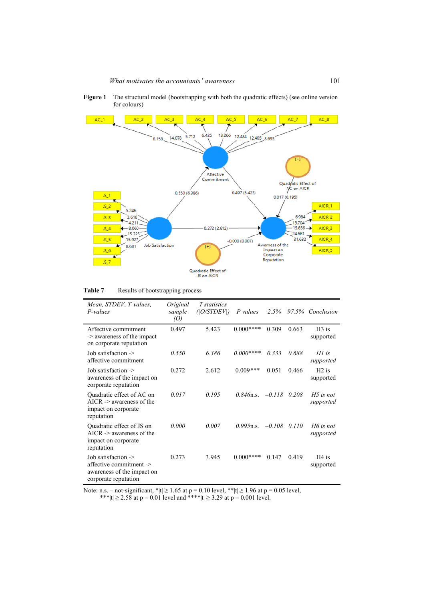



Table 7 Results of bootstrapping process

| Mean, STDEV, T-values,<br>P-values                                                                              | Original<br>sample<br>(O) | T statistics<br>(10/STDEF) | P values     | 2.5%     |       | 97.5% Conclusion         |
|-----------------------------------------------------------------------------------------------------------------|---------------------------|----------------------------|--------------|----------|-------|--------------------------|
| Affective commitment<br>-> awareness of the impact<br>on corporate reputation                                   | 0.497                     | 5.423                      | $0.000***$   | 0.309    | 0.663 | $H3$ is<br>supported     |
| Job satisfaction -><br>affective commitment                                                                     | 0.550                     | 6.386                      | $0.000***$   | 0.333    | 0.688 | $H1$ is<br>supported     |
| Job satisfaction $\rightarrow$<br>awareness of the impact on<br>corporate reputation                            | 0.272                     | 2.612                      | $0.009***$   | 0.051    | 0.466 | $H2$ is<br>supported     |
| Quadratic effect of AC on<br>$AICR \geq$ awareness of the<br>impact on corporate<br>reputation                  | 0.017                     | 0.195                      | $0.846$ n.s. | $-0.118$ | 0.208 | $H5$ is not<br>supported |
| Quadratic effect of JS on<br>$AICR \rightarrow$ awareness of the<br>impact on corporate<br>reputation           | 0.000                     | 0.007                      | $0.995$ n.s. | $-0.108$ | 0.110 | H6 is not<br>supported   |
| Job satisfaction $\rightarrow$<br>affective commitment -><br>awareness of the impact on<br>corporate reputation | 0.273                     | 3.945                      | $0.000***$   | 0.147    | 0.419 | $H4$ is<br>supported     |

Note: n.s. – not-significant, \*|t|  $\geq 1.65$  at p = 0.10 level, \*\*|t|  $\geq 1.96$  at p = 0.05 level, \*\*\*|t|  $\geq$  2.58 at p = 0.01 level and \*\*\*\*|t|  $\geq$  3.29 at p = 0.001 level.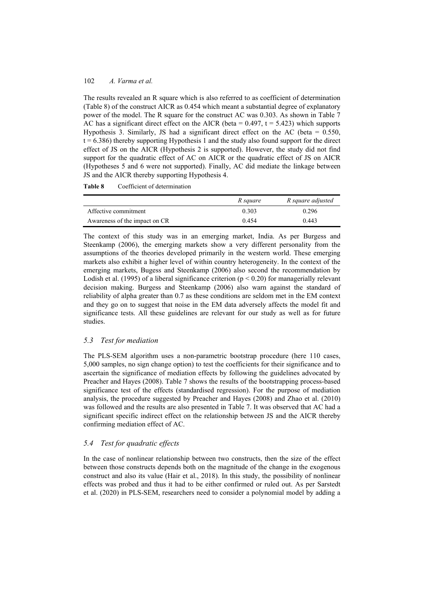The results revealed an R square which is also referred to as coefficient of determination (Table 8) of the construct AICR as 0.454 which meant a substantial degree of explanatory power of the model. The R square for the construct AC was 0.303. As shown in Table 7 AC has a significant direct effect on the AICR (beta =  $0.497$ , t =  $5.423$ ) which supports Hypothesis 3. Similarly, JS had a significant direct effect on the AC (beta = 0.550,  $t = 6.386$ ) thereby supporting Hypothesis 1 and the study also found support for the direct effect of JS on the AICR (Hypothesis 2 is supported). However, the study did not find support for the quadratic effect of AC on AICR or the quadratic effect of JS on AICR (Hypotheses 5 and 6 were not supported). Finally, AC did mediate the linkage between JS and the AICR thereby supporting Hypothesis 4.

|                               | R square | R square adjusted |
|-------------------------------|----------|-------------------|
| Affective commitment          | 0.303    | 0.296             |
| Awareness of the impact on CR | 0.454    | 0.443             |

**Table 8** Coefficient of determination

The context of this study was in an emerging market, India. As per Burgess and Steenkamp (2006), the emerging markets show a very different personality from the assumptions of the theories developed primarily in the western world. These emerging markets also exhibit a higher level of within country heterogeneity. In the context of the emerging markets, Bugess and Steenkamp (2006) also second the recommendation by Lodish et al. (1995) of a liberal significance criterion ( $p < 0.20$ ) for managerially relevant decision making. Burgess and Steenkamp (2006) also warn against the standard of reliability of alpha greater than 0.7 as these conditions are seldom met in the EM context and they go on to suggest that noise in the EM data adversely affects the model fit and significance tests. All these guidelines are relevant for our study as well as for future studies.

# *5.3 Test for mediation*

The PLS-SEM algorithm uses a non-parametric bootstrap procedure (here 110 cases, 5,000 samples, no sign change option) to test the coefficients for their significance and to ascertain the significance of mediation effects by following the guidelines advocated by Preacher and Hayes (2008). Table 7 shows the results of the bootstrapping process-based significance test of the effects (standardised regression). For the purpose of mediation analysis, the procedure suggested by Preacher and Hayes (2008) and Zhao et al. (2010) was followed and the results are also presented in Table 7. It was observed that AC had a significant specific indirect effect on the relationship between JS and the AICR thereby confirming mediation effect of AC.

# *5.4 Test for quadratic effects*

In the case of nonlinear relationship between two constructs, then the size of the effect between those constructs depends both on the magnitude of the change in the exogenous construct and also its value (Hair et al., 2018). In this study, the possibility of nonlinear effects was probed and thus it had to be either confirmed or ruled out. As per Sarstedt et al. (2020) in PLS-SEM, researchers need to consider a polynomial model by adding a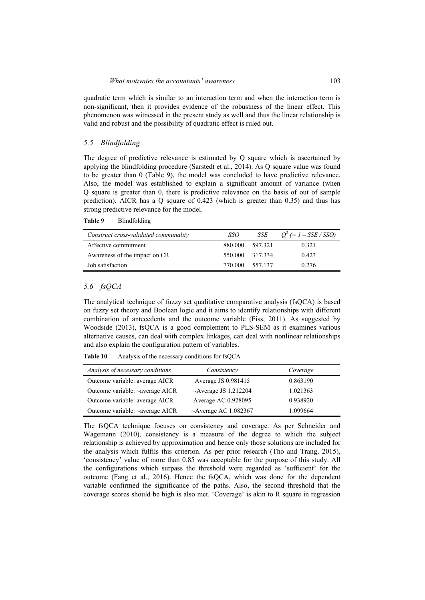quadratic term which is similar to an interaction term and when the interaction term is non-significant, then it provides evidence of the robustness of the linear effect. This phenomenon was witnessed in the present study as well and thus the linear relationship is valid and robust and the possibility of quadratic effect is ruled out.

#### *5.5 Blindfolding*

The degree of predictive relevance is estimated by Q square which is ascertained by applying the blindfolding procedure (Sarstedt et al., 2014). As Q square value was found to be greater than 0 (Table 9), the model was concluded to have predictive relevance. Also, the model was established to explain a significant amount of variance (when Q square is greater than 0, there is predictive relevance on the basis of out of sample prediction). AICR has a Q square of 0.423 (which is greater than 0.35) and thus has strong predictive relevance for the model.

| Construct cross-validated communality | SSO             | SSE             | $Q^2$ (= 1 – SSE / SSO) |
|---------------------------------------|-----------------|-----------------|-------------------------|
| Affective commitment                  | 880.000 597.321 |                 | 0.321                   |
| Awareness of the impact on CR         |                 | 550.000 317.334 | 0.423                   |
| Job satisfaction                      | 770.000 557.137 |                 | 0.276                   |

## *5.6 fsQCA*

The analytical technique of fuzzy set qualitative comparative analysis (fsQCA) is based on fuzzy set theory and Boolean logic and it aims to identify relationships with different combination of antecedents and the outcome variable (Fiss, 2011). As suggested by Woodside (2013), fsQCA is a good complement to PLS-SEM as it examines various alternative causes, can deal with complex linkages, can deal with nonlinear relationships and also explain the configuration pattern of variables.

**Table 10** Analysis of the necessary conditions for fsQCA

| Analysis of necessary conditions | Consistency                | Coverage |
|----------------------------------|----------------------------|----------|
| Outcome variable: average AICR   | Average JS 0.981415        | 0.863190 |
| Outcome variable: ~average AICR  | $\sim$ Average JS 1.212204 | 1.021363 |
| Outcome variable: average AICR   | Average AC 0.928095        | 0.938920 |
| Outcome variable: ~average AICR  | ~Average AC $1.082367$     | 1.099664 |

The fsQCA technique focuses on consistency and coverage. As per Schneider and Wagemann (2010), consistency is a measure of the degree to which the subject relationship is achieved by approximation and hence only those solutions are included for the analysis which fulfils this criterion. As per prior research (Tho and Trang, 2015), 'consistency' value of more than 0.85 was acceptable for the purpose of this study. All the configurations which surpass the threshold were regarded as 'sufficient' for the outcome (Fang et al., 2016). Hence the fsQCA, which was done for the dependent variable confirmed the significance of the paths. Also, the second threshold that the coverage scores should be high is also met. 'Coverage' is akin to R square in regression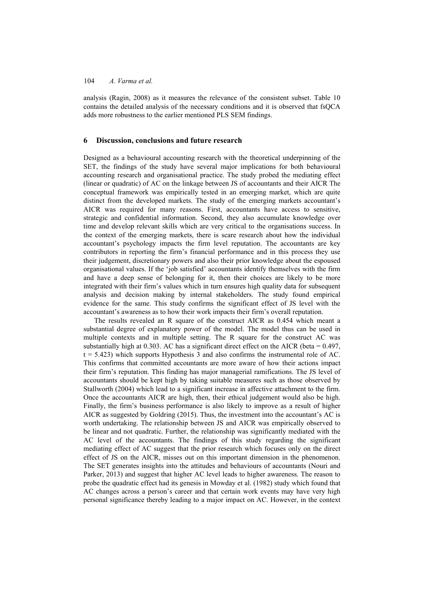analysis (Ragin, 2008) as it measures the relevance of the consistent subset. Table 10 contains the detailed analysis of the necessary conditions and it is observed that fsQCA adds more robustness to the earlier mentioned PLS SEM findings.

## **6 Discussion, conclusions and future research**

Designed as a behavioural accounting research with the theoretical underpinning of the SET, the findings of the study have several major implications for both behavioural accounting research and organisational practice. The study probed the mediating effect (linear or quadratic) of AC on the linkage between JS of accountants and their AICR The conceptual framework was empirically tested in an emerging market, which are quite distinct from the developed markets. The study of the emerging markets accountant's AICR was required for many reasons. First, accountants have access to sensitive, strategic and confidential information. Second, they also accumulate knowledge over time and develop relevant skills which are very critical to the organisations success. In the context of the emerging markets, there is scare research about how the individual accountant's psychology impacts the firm level reputation. The accountants are key contributors in reporting the firm's financial performance and in this process they use their judgement, discretionary powers and also their prior knowledge about the espoused organisational values. If the 'job satisfied' accountants identify themselves with the firm and have a deep sense of belonging for it, then their choices are likely to be more integrated with their firm's values which in turn ensures high quality data for subsequent analysis and decision making by internal stakeholders. The study found empirical evidence for the same. This study confirms the significant effect of JS level with the accountant's awareness as to how their work impacts their firm's overall reputation.

The results revealed an R square of the construct AICR as 0.454 which meant a substantial degree of explanatory power of the model. The model thus can be used in multiple contexts and in multiple setting. The R square for the construct AC was substantially high at 0.303. AC has a significant direct effect on the AICR (beta = 0.497, t = 5.423) which supports Hypothesis 3 and also confirms the instrumental role of AC. This confirms that committed accountants are more aware of how their actions impact their firm's reputation. This finding has major managerial ramifications. The JS level of accountants should be kept high by taking suitable measures such as those observed by Stallworth (2004) which lead to a significant increase in affective attachment to the firm. Once the accountants AICR are high, then, their ethical judgement would also be high. Finally, the firm's business performance is also likely to improve as a result of higher AICR as suggested by Goldring (2015). Thus, the investment into the accountant's AC is worth undertaking. The relationship between JS and AICR was empirically observed to be linear and not quadratic. Further, the relationship was significantly mediated with the AC level of the accountants. The findings of this study regarding the significant mediating effect of AC suggest that the prior research which focuses only on the direct effect of JS on the AICR, misses out on this important dimension in the phenomenon. The SET generates insights into the attitudes and behaviours of accountants (Nouri and Parker, 2013) and suggest that higher AC level leads to higher awareness. The reason to probe the quadratic effect had its genesis in Mowday et al. (1982) study which found that AC changes across a person's career and that certain work events may have very high personal significance thereby leading to a major impact on AC. However, in the context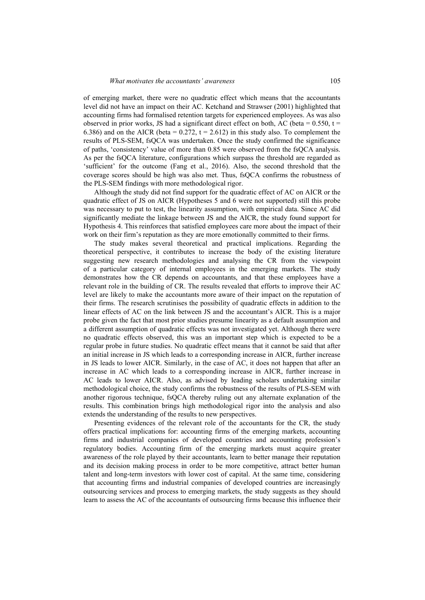of emerging market, there were no quadratic effect which means that the accountants level did not have an impact on their AC. Ketchand and Strawser (2001) highlighted that accounting firms had formalised retention targets for experienced employees. As was also observed in prior works, JS had a significant direct effect on both, AC (beta =  $0.550$ , t = 6.386) and on the AICR (beta = 0.272,  $t = 2.612$ ) in this study also. To complement the results of PLS-SEM, fsQCA was undertaken. Once the study confirmed the significance of paths, 'consistency' value of more than 0.85 were observed from the fsQCA analysis. As per the fsQCA literature, configurations which surpass the threshold are regarded as 'sufficient' for the outcome (Fang et al., 2016). Also, the second threshold that the coverage scores should be high was also met. Thus, fsQCA confirms the robustness of the PLS-SEM findings with more methodological rigor.

Although the study did not find support for the quadratic effect of AC on AICR or the quadratic effect of JS on AICR (Hypotheses 5 and 6 were not supported) still this probe was necessary to put to test, the linearity assumption, with empirical data. Since AC did significantly mediate the linkage between JS and the AICR, the study found support for Hypothesis 4. This reinforces that satisfied employees care more about the impact of their work on their firm's reputation as they are more emotionally committed to their firms.

The study makes several theoretical and practical implications. Regarding the theoretical perspective, it contributes to increase the body of the existing literature suggesting new research methodologies and analysing the CR from the viewpoint of a particular category of internal employees in the emerging markets. The study demonstrates how the CR depends on accountants, and that these employees have a relevant role in the building of CR. The results revealed that efforts to improve their AC level are likely to make the accountants more aware of their impact on the reputation of their firms. The research scrutinises the possibility of quadratic effects in addition to the linear effects of AC on the link between JS and the accountant's AICR. This is a major probe given the fact that most prior studies presume linearity as a default assumption and a different assumption of quadratic effects was not investigated yet. Although there were no quadratic effects observed, this was an important step which is expected to be a regular probe in future studies. No quadratic effect means that it cannot be said that after an initial increase in JS which leads to a corresponding increase in AICR, further increase in JS leads to lower AICR. Similarly, in the case of AC, it does not happen that after an increase in AC which leads to a corresponding increase in AICR, further increase in AC leads to lower AICR. Also, as advised by leading scholars undertaking similar methodological choice, the study confirms the robustness of the results of PLS-SEM with another rigorous technique, fsQCA thereby ruling out any alternate explanation of the results. This combination brings high methodological rigor into the analysis and also extends the understanding of the results to new perspectives.

Presenting evidences of the relevant role of the accountants for the CR, the study offers practical implications for: accounting firms of the emerging markets, accounting firms and industrial companies of developed countries and accounting profession's regulatory bodies. Accounting firm of the emerging markets must acquire greater awareness of the role played by their accountants, learn to better manage their reputation and its decision making process in order to be more competitive, attract better human talent and long-term investors with lower cost of capital. At the same time, considering that accounting firms and industrial companies of developed countries are increasingly outsourcing services and process to emerging markets, the study suggests as they should learn to assess the AC of the accountants of outsourcing firms because this influence their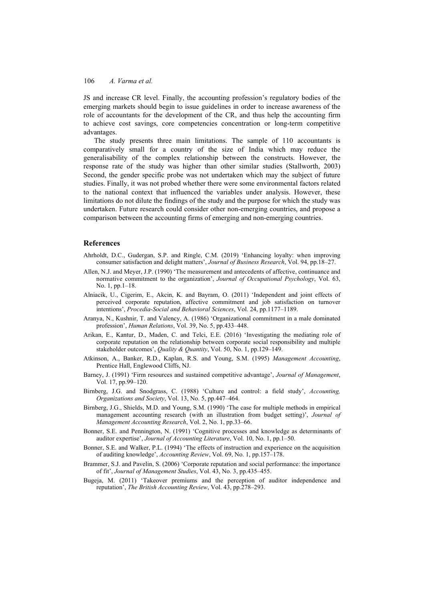JS and increase CR level. Finally, the accounting profession's regulatory bodies of the emerging markets should begin to issue guidelines in order to increase awareness of the role of accountants for the development of the CR, and thus help the accounting firm to achieve cost savings, core competencies concentration or long-term competitive advantages.

The study presents three main limitations. The sample of 110 accountants is comparatively small for a country of the size of India which may reduce the generalisability of the complex relationship between the constructs. However, the response rate of the study was higher than other similar studies (Stallworth, 2003) Second, the gender specific probe was not undertaken which may the subject of future studies. Finally, it was not probed whether there were some environmental factors related to the national context that influenced the variables under analysis. However, these limitations do not dilute the findings of the study and the purpose for which the study was undertaken. Future research could consider other non-emerging countries, and propose a comparison between the accounting firms of emerging and non-emerging countries.

## **References**

- Ahrholdt, D.C., Gudergan, S.P. and Ringle, C.M. (2019) 'Enhancing loyalty: when improving consumer satisfaction and delight matters', *Journal of Business Research*, Vol. 94, pp.18–27.
- Allen, N.J. and Meyer, J.P. (1990) 'The measurement and antecedents of affective, continuance and normative commitment to the organization', *Journal of Occupational Psychology*, Vol. 63, No. 1, pp.1–18.
- Alniacik, U., Cigerim, E., Akcin, K. and Bayram, O. (2011) 'Independent and joint effects of perceived corporate reputation, affective commitment and job satisfaction on turnover intentions', *Procedia-Social and Behavioral Sciences*, Vol. 24, pp.1177–1189.
- Aranya, N., Kushnir, T. and Valency, A. (1986) 'Organizational commitment in a male dominated profession', *Human Relations*, Vol. 39, No. 5, pp.433–448.
- Arikan, E., Kantur, D., Maden, C. and Telci, E.E. (2016) 'Investigating the mediating role of corporate reputation on the relationship between corporate social responsibility and multiple stakeholder outcomes', *Quality & Quantity*, Vol. 50, No. 1, pp.129–149.
- Atkinson, A., Banker, R.D., Kaplan, R.S. and Young, S.M. (1995) *Management Accounting*, Prentice Hall, Englewood Cliffs, NJ.
- Barney, J. (1991) 'Firm resources and sustained competitive advantage', *Journal of Management*, Vol. 17, pp.99–120.
- Birnberg, J.G. and Snodgrass, C. (1988) 'Culture and control: a field study', *Accounting, Organizations and Society*, Vol. 13, No. 5, pp.447–464.
- Birnberg, J.G., Shields, M.D. and Young, S.M. (1990) 'The case for multiple methods in empirical management accounting research (with an illustration from budget setting)', *Journal of Management Accounting Research*, Vol. 2, No. 1, pp.33–66.
- Bonner, S.E. and Pennington, N. (1991) 'Cognitive processes and knowledge as determinants of auditor expertise', *Journal of Accounting Literature*, Vol. 10, No. 1, pp.1–50.
- Bonner, S.E. and Walker, P.L. (1994) 'The effects of instruction and experience on the acquisition of auditing knowledge', *Accounting Review*, Vol. 69, No. 1, pp.157–178.
- Brammer, S.J. and Pavelin, S. (2006) 'Corporate reputation and social performance: the importance of fit', *Journal of Management Studies*, Vol. 43, No. 3, pp.435–455.
- Bugeja, M. (2011) 'Takeover premiums and the perception of auditor independence and reputation', *The British Accounting Review*, Vol. 43, pp.278–293.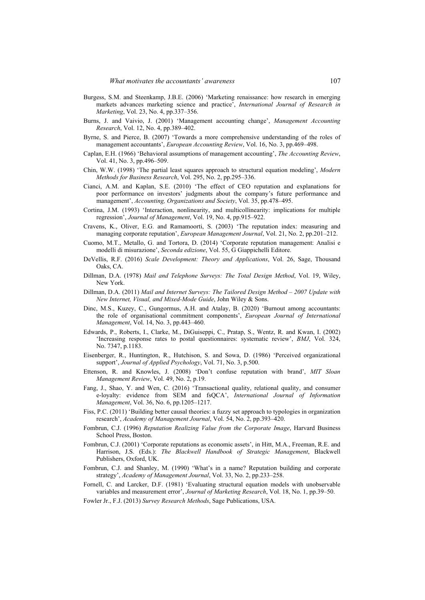- Burgess, S.M. and Steenkamp, J.B.E. (2006) 'Marketing renaissance: how research in emerging markets advances marketing science and practice', *International Journal of Research in Marketing*, Vol. 23, No. 4, pp.337–356.
- Burns, J. and Vaivio, J. (2001) 'Management accounting change', *Management Accounting Research*, Vol. 12, No. 4, pp.389–402.
- Byrne, S. and Pierce, B. (2007) 'Towards a more comprehensive understanding of the roles of management accountants', *European Accounting Review*, Vol. 16, No. 3, pp.469–498.
- Caplan, E.H. (1966) 'Behavioral assumptions of management accounting', *The Accounting Review*, Vol. 41, No. 3, pp.496–509.
- Chin, W.W. (1998) 'The partial least squares approach to structural equation modeling', *Modern Methods for Business Research*, Vol. 295, No. 2, pp.295–336.
- Cianci, A.M. and Kaplan, S.E. (2010) 'The effect of CEO reputation and explanations for poor performance on investors' judgments about the company's future performance and management', *Accounting, Organizations and Society*, Vol. 35, pp.478–495.
- Cortina, J.M. (1993) 'Interaction, nonlinearity, and multicollinearity: implications for multiple regression', *Journal of Management*, Vol. 19, No. 4, pp.915–922.
- Cravens, K., Oliver, E.G. and Ramamoorti, S. (2003) 'The reputation index: measuring and managing corporate reputation', *European Management Journal*, Vol. 21, No. 2, pp.201–212.
- Cuomo, M.T., Metallo, G. and Tortora, D. (2014) 'Corporate reputation management: Analisi e modelli di misurazione', *Seconda edizione*, Vol. 55, G Giappichelli Editore.
- DeVellis, R.F. (2016) *Scale Development: Theory and Applications*, Vol. 26, Sage, Thousand Oaks, CA.
- Dillman, D.A. (1978) *Mail and Telephone Surveys: The Total Design Method*, Vol. 19, Wiley, New York.
- Dillman, D.A. (2011) *Mail and Internet Surveys: The Tailored Design Method 2007 Update with New Internet, Visual, and Mixed-Mode Guide*, John Wiley & Sons.
- Dinc, M.S., Kuzey, C., Gungormus, A.H. and Atalay, B. (2020) 'Burnout among accountants: the role of organisational commitment components', *European Journal of International Management*, Vol. 14, No. 3, pp.443–460.
- Edwards, P., Roberts, I., Clarke, M., DiGuiseppi, C., Pratap, S., Wentz, R. and Kwan, I. (2002) 'Increasing response rates to postal questionnaires: systematic review', *BMJ*, Vol. 324, No. 7347, p.1183.
- Eisenberger, R., Huntington, R., Hutchison, S. and Sowa, D. (1986) 'Perceived organizational support', *Journal of Applied Psychology*, Vol. 71, No. 3, p.500.
- Ettenson, R. and Knowles, J. (2008) 'Don't confuse reputation with brand', *MIT Sloan Management Review*, Vol. 49, No. 2, p.19.
- Fang, J., Shao, Y. and Wen, C. (2016) 'Transactional quality, relational quality, and consumer e-loyalty: evidence from SEM and fsQCA', *International Journal of Information Management*, Vol. 36, No. 6, pp.1205–1217.
- Fiss, P.C. (2011) 'Building better causal theories: a fuzzy set approach to typologies in organization research', *Academy of Management Journal*, Vol. 54, No. 2, pp.393–420.
- Fombrun, C.J. (1996) *Reputation Realizing Value from the Corporate Image*, Harvard Business School Press, Boston.
- Fombrun, C.J. (2001) 'Corporate reputations as economic assets', in Hitt, M.A., Freeman, R.E. and Harrison, J.S. (Eds.): *The Blackwell Handbook of Strategic Management*, Blackwell Publishers, Oxford, UK.
- Fombrun, C.J. and Shanley, M. (1990) 'What's in a name? Reputation building and corporate strategy', *Academy of Management Journal*, Vol. 33, No. 2, pp.233–258.
- Fornell, C. and Larcker, D.F. (1981) 'Evaluating structural equation models with unobservable variables and measurement error', *Journal of Marketing Research*, Vol. 18, No. 1, pp.39–50.
- Fowler Jr., F.J. (2013) *Survey Research Methods*, Sage Publications, USA.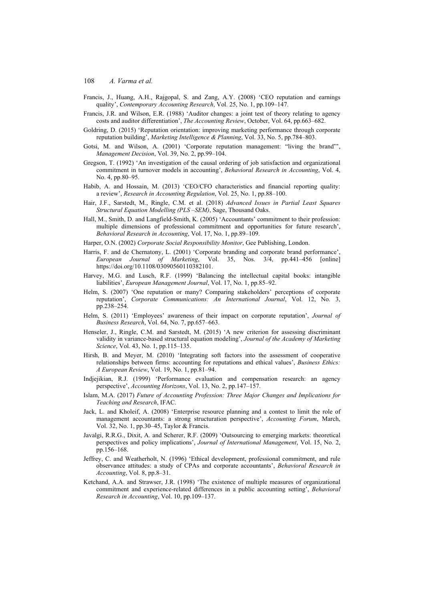- Francis, J., Huang, A.H., Rajgopal, S. and Zang, A.Y. (2008) 'CEO reputation and earnings quality', *Contemporary Accounting Research*, Vol. 25, No. 1, pp.109–147.
- Francis, J.R. and Wilson, E.R. (1988) 'Auditor changes: a joint test of theory relating to agency costs and auditor differentiation', *The Accounting Review*, October, Vol. 64, pp.663–682.
- Goldring, D. (2015) 'Reputation orientation: improving marketing performance through corporate reputation building', *Marketing Intelligence & Planning*, Vol. 33, No. 5, pp.784–803.
- Gotsi, M. and Wilson, A. (2001) 'Corporate reputation management: "living the brand"', *Management Decision*, Vol. 39, No. 2, pp.99–104.
- Gregson, T. (1992) 'An investigation of the causal ordering of job satisfaction and organizational commitment in turnover models in accounting', *Behavioral Research in Accounting*, Vol. 4, No. 4, pp.80–95.
- Habib, A. and Hossain, M. (2013) 'CEO/CFO characteristics and financial reporting quality: a review', *Research in Accounting Regulation*, Vol. 25, No. 1, pp.88–100.
- Hair, J.F., Sarstedt, M., Ringle, C.M. et al. (2018) *Advanced Issues in Partial Least Squares Structural Equation Modelling (PLS –SEM)*, Sage, Thousand Oaks.
- Hall, M., Smith, D. and Langfield-Smith, K. (2005) 'Accountants' commitment to their profession: multiple dimensions of professional commitment and opportunities for future research', *Behavioral Research in Accounting*, Vol. 17, No. 1, pp.89–109.
- Harper, O.N. (2002) *Corporate Social Responsibility Monitor*, Gee Publishing, London.
- Harris, F. and de Chernatony, L. (2001) 'Corporate branding and corporate brand performance', *European Journal of Marketing*, Vol. 35, Nos. 3/4, pp.441–456 [online] https://doi.org/10.1108/03090560110382101.
- Harvey, M.G. and Lusch, R.F. (1999) 'Balancing the intellectual capital books: intangible liabilities', *European Management Journal*, Vol. 17, No. 1, pp.85–92.
- Helm, S. (2007) 'One reputation or many? Comparing stakeholders' perceptions of corporate reputation', *Corporate Communications: An International Journal*, Vol. 12, No. 3, pp.238–254.
- Helm, S. (2011) 'Employees' awareness of their impact on corporate reputation', *Journal of Business Research*, Vol. 64, No. 7, pp.657–663.
- Henseler, J., Ringle, C.M. and Sarstedt, M. (2015) 'A new criterion for assessing discriminant validity in variance-based structural equation modeling', *Journal of the Academy of Marketing Science*, Vol. 43, No. 1, pp.115–135.
- Hirsh, B. and Meyer, M. (2010) 'Integrating soft factors into the assessment of cooperative relationships between firms: accounting for reputations and ethical values', *Business Ethics: A European Review*, Vol. 19, No. 1, pp.81–94.
- Indjejikian, R.J. (1999) 'Performance evaluation and compensation research: an agency perspective', *Accounting Horizons*, Vol. 13, No. 2, pp.147–157.
- Islam, M.A. (2017) *Future of Accounting Profession: Three Major Changes and Implications for Teaching and Research*, IFAC.
- Jack, L. and Kholeif, A. (2008) 'Enterprise resource planning and a contest to limit the role of management accountants: a strong structuration perspective', *Accounting Forum*, March, Vol. 32, No. 1, pp.30–45, Taylor & Francis.
- Javalgi, R.R.G., Dixit, A. and Scherer, R.F. (2009) 'Outsourcing to emerging markets: theoretical perspectives and policy implications', *Journal of International Management*, Vol. 15, No. 2, pp.156–168.
- Jeffrey, C. and Weatherholt, N. (1996) 'Ethical development, professional commitment, and rule observance attitudes: a study of CPAs and corporate accountants', *Behavioral Research in Accounting*, Vol. 8, pp.8–31.
- Ketchand, A.A. and Strawser, J.R. (1998) 'The existence of multiple measures of organizational commitment and experience-related differences in a public accounting setting', *Behavioral Research in Accounting*, Vol. 10, pp.109–137.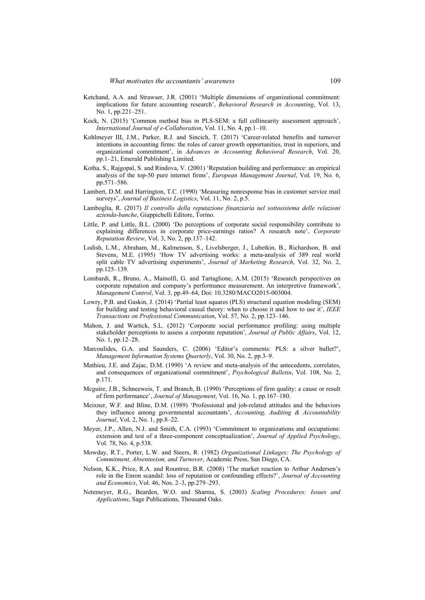- Ketchand, A.A. and Strawser, J.R. (2001) 'Multiple dimensions of organizational commitment: implications for future accounting research', *Behavioral Research in Accounting*, Vol. 13, No. 1, pp.221–251.
- Kock, N. (2015) 'Common method bias in PLS-SEM: a full collinearity assessment approach', *International Journal of e-Collaboration*, Vol. 11, No. 4, pp.1–10.
- Kohlmeyer III, J.M., Parker, R.J. and Sincich, T. (2017) 'Career-related benefits and turnover intentions in accounting firms: the roles of career growth opportunities, trust in superiors, and organizational commitment', in *Advances in Accounting Behavioral Research*, Vol. 20, pp.1–21, Emerald Publishing Limited.
- Kotha, S., Rajgopal, S. and Rindova, V. (2001) 'Reputation building and performance: an empirical analysis of the top-50 pure internet firms', *European Management Journal*, Vol. 19, No. 6, pp.571–586.
- Lambert, D.M. and Harrington, T.C. (1990) 'Measuring nonresponse bias in customer service mail surveys', *Journal of Business Logistics*, Vol. 11, No. 2, p.5.
- Lamboglia, R. (2017) *Il controllo della reputazione finanziaria nel sottosistema delle relazioni azienda-banche*, Giappichelli Editore, Torino.
- Little, P. and Little, B.L. (2000) 'Do perceptions of corporate social responsibility contribute to explaining differences in corporate price-earnings ratios? A research note', *Corporate Reputation Review*, Vol. 3, No. 2, pp.137–142.
- Lodish, L.M., Abraham, M., Kalmenson, S., Livelsberger, J., Lubetkin, B., Richardson, B. and Stevens, M.E. (1995) 'How TV advertising works: a meta-analysis of 389 real world split cable TV advertising experiments', *Journal of Marketing Research*, Vol. 32, No. 2, pp.125–139.
- Lombardi, R., Bruno, A., Mainolfi, G. and Tartaglione, A.M. (2015) 'Research perspectives on corporate reputation and company's performance measurement. An interpretive framework', *Management Control*, Vol. 3, pp.49–64, Doi: 10.3280/MACO2015-003004.
- Lowry, P.B. and Gaskin, J. (2014) 'Partial least squares (PLS) structural equation modeling (SEM) for building and testing behavioral causal theory: when to choose it and how to use it', *IEEE Transactions on Professional Communication*, Vol. 57, No. 2, pp.123–146.
- Mahon, J. and Wartick, S.L. (2012) 'Corporate social performance profiling: using multiple stakeholder perceptions to assess a corporate reputation', *Journal of Public Affairs*, Vol. 12, No. 1, pp.12–28.
- Marcoulides, G.A. and Saunders, C. (2006) 'Editor's comments: PLS: a silver bullet?', *Management Information Systems Quarterly*, Vol. 30, No. 2, pp.3–9.
- Mathieu, J.E. and Zajac, D.M. (1990) 'A review and meta-analysis of the antecedents, correlates, and consequences of organizational commitment', *Psychological Bulletin*, Vol. 108, No. 2, p.171.
- Mcguire, J.B., Schneeweis, T. and Branch, B. (1990) 'Perceptions of firm quality: a cause or result of firm performance', *Journal of Management*, Vol. 16, No. 1, pp.167–180.
- Meixner, W.F. and Bline, D.M. (1989) 'Professional and job-related attitudes and the behaviors they influence among governmental accountants', *Accounting, Auditing & Accountability Journal*, Vol. 2, No. 1, pp.8–22.
- Meyer, J.P., Allen, N.J. and Smith, C.A. (1993) 'Commitment to organizations and occupations: extension and test of a three-component conceptualization', *Journal of Applied Psychology*, Vol. 78, No. 4, p.538.
- Mowday, R.T., Porter, L.W. and Steers, R. (1982) *Organizational Linkages: The Psychology of Commitment, Absenteeism, and Turnover*, Academic Press, San Diego, CA.
- Nelson, K.K., Price, R.A. and Rountree, B.R. (2008) 'The market reaction to Arthur Andersen's role in the Enron scandal: loss of reputation or confounding effects?', *Journal of Accounting and Economics*, Vol. 46, Nos. 2–3, pp.279–293.
- Netemeyer, R.G., Bearden, W.O. and Sharma, S. (2003) *Scaling Procedures: Issues and Applications*, Sage Publications, Thousand Oaks.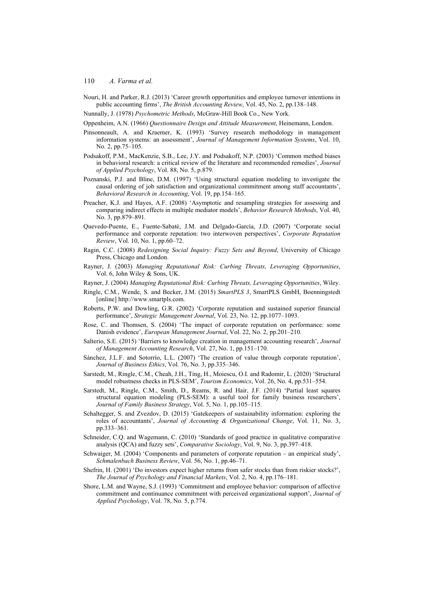- Nouri, H. and Parker, R.J. (2013) 'Career growth opportunities and employee turnover intentions in public accounting firms', *The British Accounting Review*, Vol. 45, No. 2, pp.138–148.
- Nunnally, J. (1978) *Psychometric Methods*, McGraw-Hill Book Co., New York.
- Oppenheim, A.N. (1966) *Questionnaire Design and Attitude Measurement*, Heinemann, London.
- Pinsonneault, A. and Kraemer, K. (1993) 'Survey research methodology in management information systems: an assessment', *Journal of Management Information Systems*, Vol. 10, No. 2, pp.75–105.
- Podsakoff, P.M., MacKenzie, S.B., Lee, J.Y. and Podsakoff, N.P. (2003) 'Common method biases in behavioral research: a critical review of the literature and recommended remedies', *Journal of Applied Psychology*, Vol. 88, No. 5, p.879.
- Poznanski, P.J. and Bline, D.M. (1997) 'Using structural equation modeling to investigate the causal ordering of job satisfaction and organizational commitment among staff accountants', *Behavioral Research in Accounting*, Vol. 19, pp.154–165.
- Preacher, K.J. and Hayes, A.F. (2008) 'Asymptotic and resampling strategies for assessing and comparing indirect effects in multiple mediator models', *Behavior Research Methods*, Vol. 40, No. 3, pp.879–891.
- Quevedo-Puente, E., Fuente-Sabaté, J.M. and Delgado-García, J.D. (2007) 'Corporate social performance and corporate reputation: two interwoven perspectives', *Corporate Reputation Review*, Vol. 10, No. 1, pp.60–72.
- Ragin, C.C. (2008) *Redesigning Social Inquiry: Fuzzy Sets and Beyond*, University of Chicago Press, Chicago and London.
- Rayner, J. (2003) *Managing Reputational Risk: Curbing Threats, Leveraging Opportunities*, Vol. 6, John Wiley & Sons, UK.
- Rayner, J. (2004) *Managing Reputational Risk: Curbing Threats, Leveraging Opportunities*, Wiley.
- Ringle, C.M., Wende, S. and Becker, J.M. (2015) *SmartPLS 3*, SmartPLS GmbH, Boenningstedt [online] http://www.smartpls.com.
- Roberts, P.W. and Dowling, G.R. (2002) 'Corporate reputation and sustained superior financial performance', *Strategic Management Journal*, Vol. 23, No. 12, pp.1077–1093.
- Rose, C. and Thomsen, S. (2004) 'The impact of corporate reputation on performance: some Danish evidence', *European Management Journal*, Vol. 22, No. 2, pp.201–210.
- Salterio, S.E. (2015) 'Barriers to knowledge creation in management accounting research', *Journal of Management Accounting Research*, Vol. 27, No. 1, pp.151–170.
- Sánchez, J.L.F. and Sotorrío, L.L. (2007) 'The creation of value through corporate reputation', *Journal of Business Ethics*, Vol. 76, No. 3, pp.335–346.
- Sarstedt, M., Ringle, C.M., Cheah, J.H., Ting, H., Moiescu, O.I. and Radomir, L. (2020) 'Structural model robustness checks in PLS-SEM', *Tourism Economics*, Vol. 26, No. 4, pp.531–554.
- Sarstedt, M., Ringle, C.M., Smith, D., Reams, R. and Hair, J.F. (2014) 'Partial least squares structural equation modeling (PLS-SEM): a useful tool for family business researchers', *Journal of Family Business Strategy*, Vol. 5, No. 1, pp.105–115.
- Schaltegger, S. and Zvezdov, D. (2015) 'Gatekeepers of sustainability information: exploring the roles of accountants', *Journal of Accounting & Organizational Change*, Vol. 11, No. 3, pp.333–361.
- Schneider, C.Q. and Wagemann, C. (2010) 'Standards of good practice in qualitative comparative analysis (QCA) and fuzzy sets', *Comparative Sociology*, Vol. 9, No. 3, pp.397–418.
- Schwaiger, M. (2004) 'Components and parameters of corporate reputation an empirical study', *Schmalenbach Business Review*, Vol. 56, No. 1, pp.46–71.
- Shefrin, H. (2001) 'Do investors expect higher returns from safer stocks than from riskier stocks?', *The Journal of Psychology and Financial Markets*, Vol. 2, No. 4, pp.176–181.
- Shore, L.M. and Wayne, S.J. (1993) 'Commitment and employee behavior: comparison of affective commitment and continuance commitment with perceived organizational support', *Journal of Applied Psychology*, Vol. 78, No. 5, p.774.